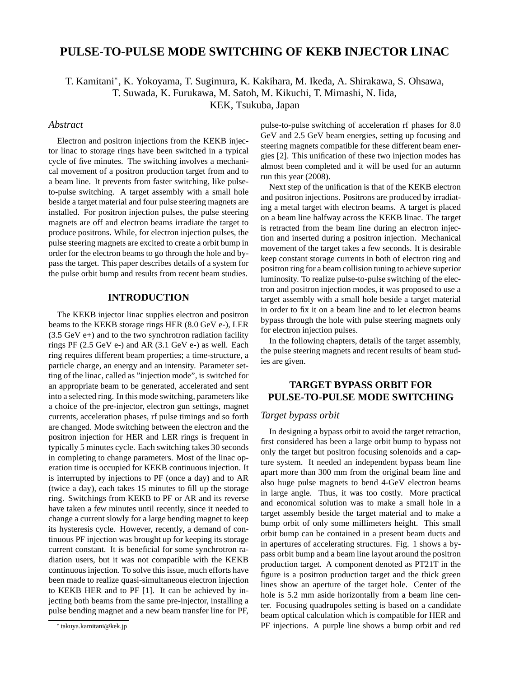# **PULSE-TO-PULSE MODE SWITCHING OF KEKB INJECTOR LINAC**

T. Kamitani<sup>∗</sup> , K. Yokoyama, T. Sugimura, K. Kakihara, M. Ikeda, A. Shirakawa, S. Ohsawa,

T. Suwada, K. Furukawa, M. Satoh, M. Kikuchi, T. Mimashi, N. Iida,

KEK, Tsukuba, Japan

## *Abstract*

Electron and positron injections from the KEKB injector linac to storage rings have been switched in a typical cycle of five minutes. The switching involves a mechanical movement of a positron production target from and to a beam line. It prevents from faster switching, like pulseto-pulse switching. A target assembly with a small hole beside a target material and four pulse steering magnets are installed. For positron injection pulses, the pulse steering magnets are off and electron beams irradiate the target to produce positrons. While, for electron injection pulses, the pulse steering magnets are excited to create a orbit bump in order for the electron beams to go through the hole and bypass the target. This paper describes details of a system for the pulse orbit bump and results from recent beam studies.

## **INTRODUCTION**

The KEKB injector linac supplies electron and positron beams to the KEKB storage rings HER (8.0 GeV e-), LER  $(3.5 \text{ GeV } e+)$  and to the two synchrotron radiation facility rings PF (2.5 GeV e-) and AR (3.1 GeV e-) as well. Each ring requires different beam properties; a time-structure, a particle charge, an energy and an intensity. Parameter setting of the linac, called as "injection mode", is switched for an appropriate beam to be generated, accelerated and sent into a selected ring. In this mode switching, parameters like a choice of the pre-injector, electron gun settings, magnet currents, acceleration phases, rf pulse timings and so forth are changed. Mode switching between the electron and the positron injection for HER and LER rings is frequent in typically 5 minutes cycle. Each switching takes 30 seconds in completing to change parameters. Most of the linac operation time is occupied for KEKB continuous injection. It is interrupted by injections to PF (once a day) and to AR (twice a day), each takes 15 minutes to fill up the storage ring. Switchings from KEKB to PF or AR and its reverse have taken a few minutes until recently, since it needed to change a current slowly for a large bending magnet to keep its hysteresis cycle. However, recently, a demand of continuous PF injection was brought up for keeping its storage current constant. It is beneficial for some synchrotron radiation users, but it was not compatible with the KEKB continuous injection. To solve this issue, much efforts have been made to realize quasi-simultaneous electron injection to KEKB HER and to PF [1]. It can be achieved by injecting both beams from the same pre-injector, installing a pulse bending magnet and a new beam transfer line for PF,

pulse-to-pulse switching of acceleration rf phases for 8.0 GeV and 2.5 GeV beam energies, setting up focusing and steering magnets compatible for these different beam energies [2]. This unification of these two injection modes has almost been completed and it will be used for an autumn run this year (2008).

Next step of the unification is that of the KEKB electron and positron injections. Positrons are produced by irradiating a metal target with electron beams. A target is placed on a beam line halfway across the KEKB linac. The target is retracted from the beam line during an electron injection and inserted during a positron injection. Mechanical movement of the target takes a few seconds. It is desirable keep constant storage currents in both of electron ring and positron ring for a beam collision tuning to achieve superior luminosity. To realize pulse-to-pulse switching of the electron and positron injection modes, it was proposed to use a target assembly with a small hole beside a target material in order to fix it on a beam line and to let electron beams bypass through the hole with pulse steering magnets only for electron injection pulses.

In the following chapters, details of the target assembly, the pulse steering magnets and recent results of beam studies are given.

## **TARGET BYPASS ORBIT FOR PULSE-TO-PULSE MODE SWITCHING**

#### *Target bypass orbit*

In designing a bypass orbit to avoid the target retraction, first considered has been a large orbit bump to bypass not only the target but positron focusing solenoids and a capture system. It needed an independent bypass beam line apart more than 300 mm from the original beam line and also huge pulse magnets to bend 4-GeV electron beams in large angle. Thus, it was too costly. More practical and economical solution was to make a small hole in a target assembly beside the target material and to make a bump orbit of only some millimeters height. This small orbit bump can be contained in a present beam ducts and in apertures of accelerating structures. Fig. 1 shows a bypass orbit bump and a beam line layout around the positron production target. A component denoted as PT21T in the figure is a positron production target and the thick green lines show an aperture of the target hole. Center of the hole is 5.2 mm aside horizontally from a beam line center. Focusing quadrupoles setting is based on a candidate beam optical calculation which is compatible for HER and PF injections. A purple line shows a bump orbit and red

<sup>∗</sup> takuya.kamitani@kek.jp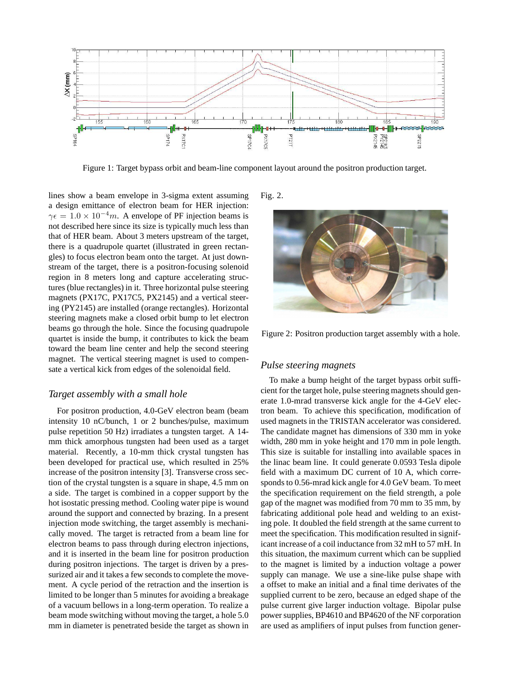

Figure 1: Target bypass orbit and beam-line component layout around the positron production target.

lines show a beam envelope in 3-sigma extent assuming a design emittance of electron beam for HER injection:  $\gamma \epsilon = 1.0 \times 10^{-4} m$ . A envelope of PF injection beams is not described here since its size is typically much less than that of HER beam. About 3 meters upstream of the target, there is a quadrupole quartet (illustrated in green rectangles) to focus electron beam onto the target. At just downstream of the target, there is a positron-focusing solenoid region in 8 meters long and capture accelerating structures (blue rectangles) in it. Three horizontal pulse steering magnets (PX17C, PX17C5, PX2145) and a vertical steering (PY2145) are installed (orange rectangles). Horizontal steering magnets make a closed orbit bump to let electron beams go through the hole. Since the focusing quadrupole quartet is inside the bump, it contributes to kick the beam toward the beam line center and help the second steering magnet. The vertical steering magnet is used to compensate a vertical kick from edges of the solenoidal field.

#### *Target assembly with a small hole*

For positron production, 4.0-GeV electron beam (beam intensity 10 nC/bunch, 1 or 2 bunches/pulse, maximum pulse repetition 50 Hz) irradiates a tungsten target. A 14 mm thick amorphous tungsten had been used as a target material. Recently, a 10-mm thick crystal tungsten has been developed for practical use, which resulted in 25% increase of the positron intensity [3]. Transverse cross section of the crystal tungsten is a square in shape, 4.5 mm on a side. The target is combined in a copper support by the hot isostatic pressing method. Cooling water pipe is wound around the support and connected by brazing. In a present injection mode switching, the target assembly is mechanically moved. The target is retracted from a beam line for electron beams to pass through during electron injections, and it is inserted in the beam line for positron production during positron injections. The target is driven by a pressurized air and it takes a few seconds to complete the movement. A cycle period of the retraction and the insertion is limited to be longer than 5 minutes for avoiding a breakage of a vacuum bellows in a long-term operation. To realize a beam mode switching without moving the target, a hole 5.0 mm in diameter is penetrated beside the target as shown in Fig. 2.



Figure 2: Positron production target assembly with a hole.

### *Pulse steering magnets*

To make a bump height of the target bypass orbit sufficient for the target hole, pulse steering magnets should generate 1.0-mrad transverse kick angle for the 4-GeV electron beam. To achieve this specification, modification of used magnets in the TRISTAN accelerator was considered. The candidate magnet has dimensions of 330 mm in yoke width, 280 mm in yoke height and 170 mm in pole length. This size is suitable for installing into available spaces in the linac beam line. It could generate 0.0593 Tesla dipole field with a maximum DC current of 10 A, which corresponds to 0.56-mrad kick angle for 4.0 GeV beam. To meet the specification requirement on the field strength, a pole gap of the magnet was modified from 70 mm to 35 mm, by fabricating additional pole head and welding to an existing pole. It doubled the field strength at the same current to meet the specification. This modification resulted in significant increase of a coil inductance from 32 mH to 57 mH. In this situation, the maximum current which can be supplied to the magnet is limited by a induction voltage a power supply can manage. We use a sine-like pulse shape with a offset to make an initial and a final time derivates of the supplied current to be zero, because an edged shape of the pulse current give larger induction voltage. Bipolar pulse power supplies, BP4610 and BP4620 of the NF corporation are used as amplifiers of input pulses from function gener